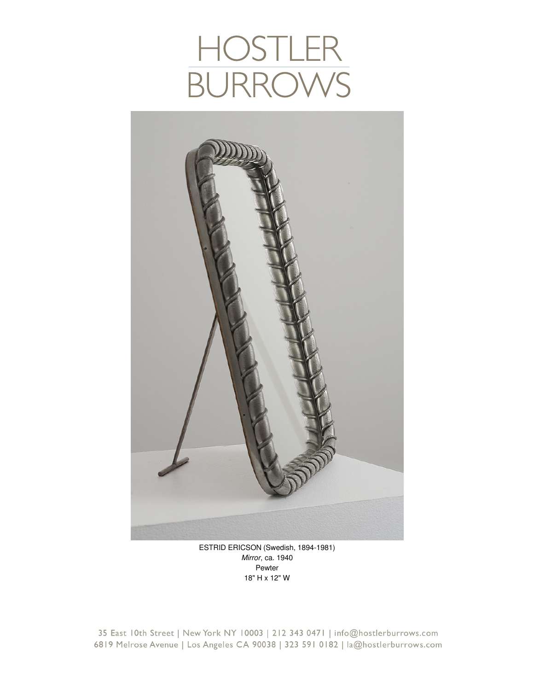## HOSTLER<br>BURROWS



ESTRID ERICSON (Swedish, 1894-1981) *Mirror*, ca. 1940 Pewter 18" H x 12" W

35 East 10th Street | New York NY 10003 | 212 343 0471 | info@hostlerburrows.com 6819 Melrose Avenue | Los Angeles CA 90038 | 323 591 0182 | la@hostlerburrows.com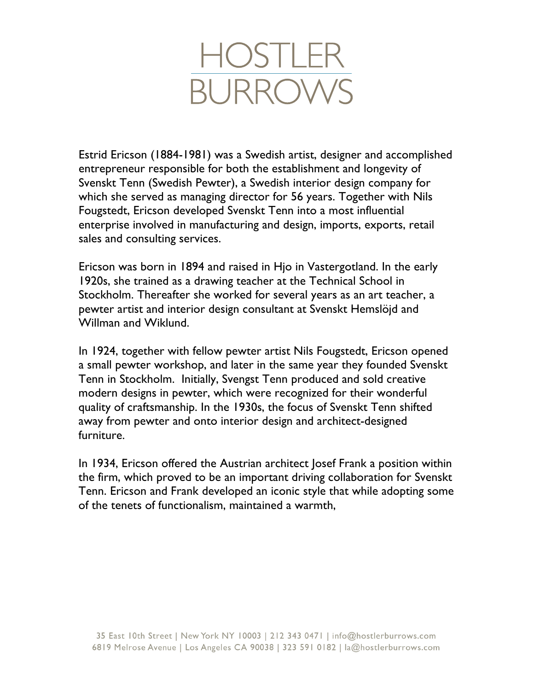

Estrid Ericson (1884-1981) was a Swedish artist, designer and accomplished entrepreneur responsible for both the establishment and longevity of Svenskt Tenn (Swedish Pewter), a Swedish interior design company for which she served as managing director for 56 years. Together with Nils Fougstedt, Ericson developed Svenskt Tenn into a most influential enterprise involved in manufacturing and design, imports, exports, retail sales and consulting services.

Ericson was born in 1894 and raised in Hjo in Vastergotland. In the early 1920s, she trained as a drawing teacher at the Technical School in Stockholm. Thereafter she worked for several years as an art teacher, a pewter artist and interior design consultant at Svenskt Hemslöjd and Willman and Wiklund.

In 1924, together with fellow pewter artist Nils Fougstedt, Ericson opened a small pewter workshop, and later in the same year they founded Svenskt Tenn in Stockholm. Initially, Svengst Tenn produced and sold creative modern designs in pewter, which were recognized for their wonderful quality of craftsmanship. In the 1930s, the focus of Svenskt Tenn shifted away from pewter and onto interior design and architect-designed furniture.

In 1934, Ericson offered the Austrian architect Josef Frank a position within the firm, which proved to be an important driving collaboration for Svenskt Tenn. Ericson and Frank developed an iconic style that while adopting some of the tenets of functionalism, maintained a warmth,